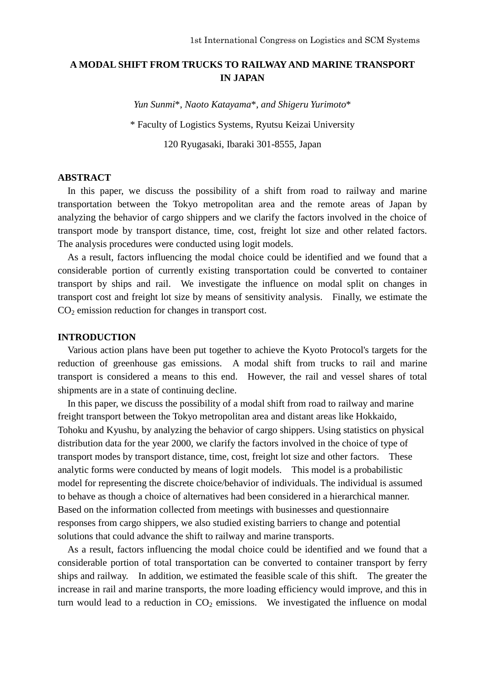# **A MODAL SHIFT FROM TRUCKS TO RAILWAY AND MARINE TRANSPORT IN JAPAN**

*Yun Sunmi*\*, *Naoto Katayama*\*, *and Shigeru Yurimoto*\*

\* Faculty of Logistics Systems, Ryutsu Keizai University

120 Ryugasaki, Ibaraki 301-8555, Japan

## **ABSTRACT**

In this paper, we discuss the possibility of a shift from road to railway and marine transportation between the Tokyo metropolitan area and the remote areas of Japan by analyzing the behavior of cargo shippers and we clarify the factors involved in the choice of transport mode by transport distance, time, cost, freight lot size and other related factors. The analysis procedures were conducted using logit models.

As a result, factors influencing the modal choice could be identified and we found that a considerable portion of currently existing transportation could be converted to container transport by ships and rail. We investigate the influence on modal split on changes in transport cost and freight lot size by means of sensitivity analysis. Finally, we estimate the  $CO<sub>2</sub>$  emission reduction for changes in transport cost.

### **INTRODUCTION**

Various action plans have been put together to achieve the Kyoto Protocol's targets for the reduction of greenhouse gas emissions. A modal shift from trucks to rail and marine transport is considered a means to this end. However, the rail and vessel shares of total shipments are in a state of continuing decline.

In this paper, we discuss the possibility of a modal shift from road to railway and marine freight transport between the Tokyo metropolitan area and distant areas like Hokkaido, Tohoku and Kyushu, by analyzing the behavior of cargo shippers. Using statistics on physical distribution data for the year 2000, we clarify the factors involved in the choice of type of transport modes by transport distance, time, cost, freight lot size and other factors. These analytic forms were conducted by means of logit models. This model is a probabilistic model for representing the discrete choice/behavior of individuals. The individual is assumed to behave as though a choice of alternatives had been considered in a hierarchical manner. Based on the information collected from meetings with businesses and questionnaire responses from cargo shippers, we also studied existing barriers to change and potential solutions that could advance the shift to railway and marine transports.

As a result, factors influencing the modal choice could be identified and we found that a considerable portion of total transportation can be converted to container transport by ferry ships and railway. In addition, we estimated the feasible scale of this shift. The greater the increase in rail and marine transports, the more loading efficiency would improve, and this in turn would lead to a reduction in  $CO<sub>2</sub>$  emissions. We investigated the influence on modal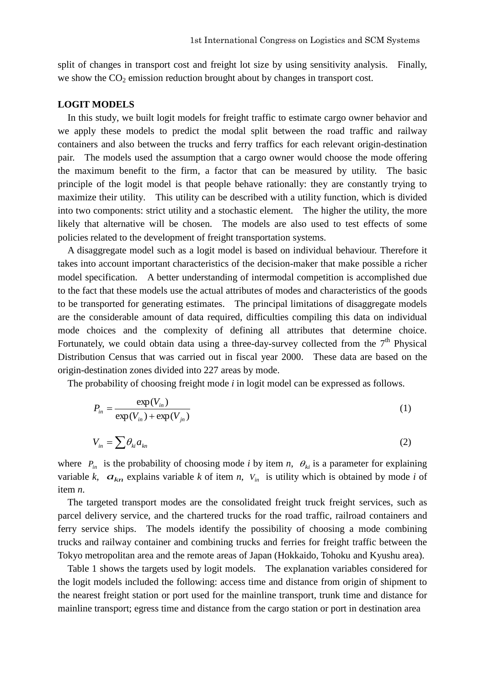split of changes in transport cost and freight lot size by using sensitivity analysis. Finally, we show the  $CO<sub>2</sub>$  emission reduction brought about by changes in transport cost.

## **LOGIT MODELS**

In this study, we built logit models for freight traffic to estimate cargo owner behavior and we apply these models to predict the modal split between the road traffic and railway containers and also between the trucks and ferry traffics for each relevant origin-destination pair. The models used the assumption that a cargo owner would choose the mode offering the maximum benefit to the firm, a factor that can be measured by utility. The basic principle of the logit model is that people behave rationally: they are constantly trying to maximize their utility. This utility can be described with a utility function, which is divided into two components: strict utility and a stochastic element. The higher the utility, the more likely that alternative will be chosen. The models are also used to test effects of some policies related to the development of freight transportation systems.

 A disaggregate model such as a logit model is based on individual behaviour. Therefore it takes into account important characteristics of the decision-maker that make possible a richer model specification. A better understanding of intermodal competition is accomplished due to the fact that these models use the actual attributes of modes and characteristics of the goods to be transported for generating estimates. The principal limitations of disaggregate models are the considerable amount of data required, difficulties compiling this data on individual mode choices and the complexity of defining all attributes that determine choice. Fortunately, we could obtain data using a three-day-survey collected from the  $7<sup>th</sup>$  Physical Distribution Census that was carried out in fiscal year 2000. These data are based on the origin-destination zones divided into 227 areas by mode.

The probability of choosing freight mode *i* in logit model can be expressed as follows.

$$
P_{in} = \frac{\exp(V_{in})}{\exp(V_{in}) + \exp(V_{in})}
$$
\n(1)

$$
V_{in} = \sum \theta_{ki} a_{kn} \tag{2}
$$

where  $P_{in}$  is the probability of choosing mode *i* by item *n*,  $\theta_{ki}$  is a parameter for explaining variable *k*,  $a_{kn}$  explains variable *k* of item *n*,  $V_{in}$  is utility which is obtained by mode *i* of item *n*.

The targeted transport modes are the consolidated freight truck freight services, such as parcel delivery service, and the chartered trucks for the road traffic, railroad containers and ferry service ships. The models identify the possibility of choosing a mode combining trucks and railway container and combining trucks and ferries for freight traffic between the Tokyo metropolitan area and the remote areas of Japan (Hokkaido, Tohoku and Kyushu area).

Table 1 shows the targets used by logit models. The explanation variables considered for the logit models included the following: access time and distance from origin of shipment to the nearest freight station or port used for the mainline transport, trunk time and distance for mainline transport; egress time and distance from the cargo station or port in destination area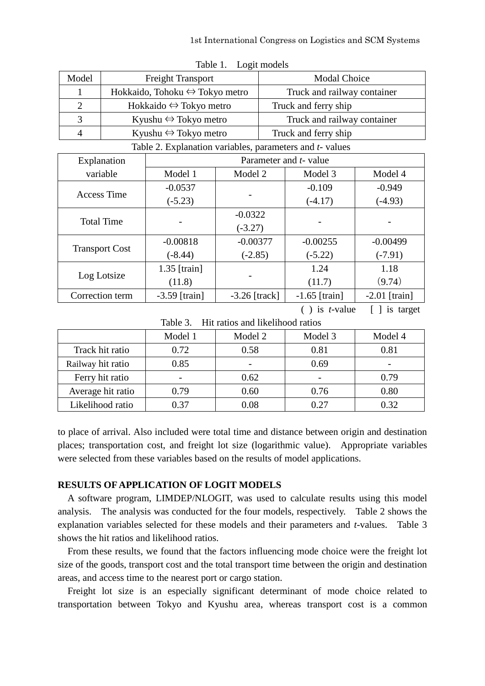|       | $1000 \text{ m}$                               |                             |
|-------|------------------------------------------------|-----------------------------|
| Model | <b>Freight Transport</b>                       | <b>Modal Choice</b>         |
|       | Hokkaido, Tohoku $\Leftrightarrow$ Tokyo metro | Truck and railway container |
| 2     | Hokkaido $\Leftrightarrow$ Tokyo metro         | Truck and ferry ship        |
| 3     | Kyushu $\Leftrightarrow$ Tokyo metro           | Truck and railway container |
| 4     | Kyushu $\Leftrightarrow$ Tokyo metro           | Truck and ferry ship        |
|       |                                                |                             |

Table 1. Logit models

| Table 2. Explanation variables, parameters and t- values |                 |                 |                 |                 |
|----------------------------------------------------------|-----------------|-----------------|-----------------|-----------------|
| Parameter and <i>t</i> - value<br>Explanation            |                 |                 |                 |                 |
| variable                                                 | Model 1         | Model 2         | Model 3         | Model 4         |
| Access Time                                              | $-0.0537$       |                 | $-0.109$        | $-0.949$        |
|                                                          | $(-5.23)$       | $(-4.17)$       | $(-4.93)$       |                 |
| <b>Total Time</b>                                        |                 | $-0.0322$       |                 |                 |
|                                                          |                 | $(-3.27)$       |                 |                 |
|                                                          | $-0.00818$      | $-0.00377$      | $-0.00255$      | $-0.00499$      |
| <b>Transport Cost</b>                                    | $(-8.44)$       | $(-2.85)$       | $(-5.22)$       | $(-7.91)$       |
|                                                          | $1.35$ [train]  |                 | 1.24            | 1.18            |
| Log Lotsize                                              | (11.8)          |                 | (11.7)          | (9.74)          |
| Correction term                                          | $-3.59$ [train] | $-3.26$ [track] | $-1.65$ [train] | $-2.01$ [train] |

( ) is *t*-value [ ] is target

Table 3. Hit ratios and likelihood ratios

|                   | Model 1 | Model 2                  | Model 3                  | Model 4 |
|-------------------|---------|--------------------------|--------------------------|---------|
| Track hit ratio   | 0.72    | 0.58                     | 0.81                     | 0.81    |
| Railway hit ratio | 0.85    | $\overline{\phantom{0}}$ | 0.69                     |         |
| Ferry hit ratio   |         | 0.62                     | $\overline{\phantom{0}}$ | 0.79    |
| Average hit ratio | 0.79    | 0.60                     | 0.76                     | 0.80    |
| Likelihood ratio  | 0.37    | 0.08                     | 0.27                     | 0.32    |

to place of arrival. Also included were total time and distance between origin and destination places; transportation cost, and freight lot size (logarithmic value). Appropriate variables were selected from these variables based on the results of model applications.

#### **RESULTS OF APPLICATION OF LOGIT MODELS**

 A software program, LIMDEP/NLOGIT, was used to calculate results using this model analysis. The analysis was conducted for the four models, respectively. Table 2 shows the explanation variables selected for these models and their parameters and *t-*values. Table 3 shows the hit ratios and likelihood ratios.

From these results, we found that the factors influencing mode choice were the freight lot size of the goods, transport cost and the total transport time between the origin and destination areas, and access time to the nearest port or cargo station.

Freight lot size is an especially significant determinant of mode choice related to transportation between Tokyo and Kyushu area, whereas transport cost is a common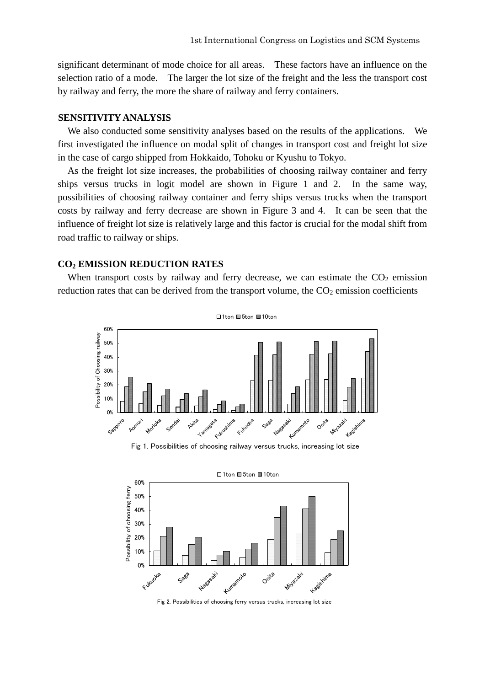significant determinant of mode choice for all areas. These factors have an influence on the selection ratio of a mode. The larger the lot size of the freight and the less the transport cost by railway and ferry, the more the share of railway and ferry containers.

#### **SENSITIVITY ANALYSIS**

We also conducted some sensitivity analyses based on the results of the applications. We first investigated the influence on modal split of changes in transport cost and freight lot size in the case of cargo shipped from Hokkaido, Tohoku or Kyushu to Tokyo.

 As the freight lot size increases, the probabilities of choosing railway container and ferry ships versus trucks in logit model are shown in Figure 1 and 2. In the same way, possibilities of choosing railway container and ferry ships versus trucks when the transport costs by railway and ferry decrease are shown in Figure 3 and 4. It can be seen that the influence of freight lot size is relatively large and this factor is crucial for the modal shift from road traffic to railway or ships.

## **CO<sup>2</sup> EMISSION REDUCTION RATES**

When transport costs by railway and ferry decrease, we can estimate the  $CO<sub>2</sub>$  emission reduction rates that can be derived from the transport volume, the  $CO<sub>2</sub>$  emission coefficients



Fig 1. Possibilities of choosing railway versus trucks, increasing lot size



Fig 2. Possibilities of choosing ferry versus trucks, increasing lot size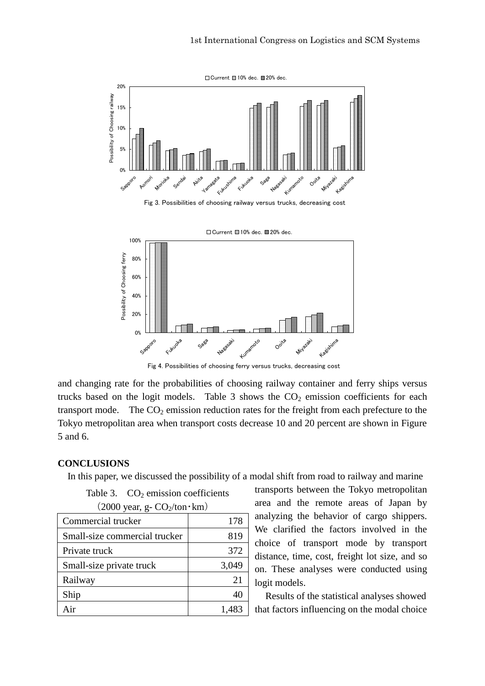

□ Current □ 10% dec. ■ 20% dec. 100% Possibility of Choosing ferry Possibility of Choosing ferry 80% 60% 40% 20% 0% Fukuok Nagasaki Ooita **Miyazaki** Sapporo Saga Kumamoto Kagishima

Fig 4. Possibilities of choosing ferry versus trucks, decreasing cost

and changing rate for the probabilities of choosing railway container and ferry ships versus trucks based on the logit models. Table 3 shows the  $CO<sub>2</sub>$  emission coefficients for each transport mode. The  $CO<sub>2</sub>$  emission reduction rates for the freight from each prefecture to the Tokyo metropolitan area when transport costs decrease 10 and 20 percent are shown in Figure 5 and 6.

#### **CONCLUSIONS**

In this paper, we discussed the possibility of a modal shift from road to railway and marine

Table 3.  $CO<sub>2</sub>$  emission coefficients

| Commercial trucker<br>178            |
|--------------------------------------|
|                                      |
| Small-size commercial trucker<br>819 |
| Private truck<br>372                 |
| Small-size private truck<br>3,049    |
| Railway<br>21                        |
| Ship<br>40                           |
| Air<br>1,483                         |

 $(2000 \text{ year } \sigma \cdot \text{CO}_{\text{t}}/\text{ton} \cdot \text{km})$ 

transports between the Tokyo metropolitan area and the remote areas of Japan by analyzing the behavior of cargo shippers. We clarified the factors involved in the choice of transport mode by transport distance, time, cost, freight lot size, and so on. These analyses were conducted using logit models.

Results of the statistical analyses showed that factors influencing on the modal choice